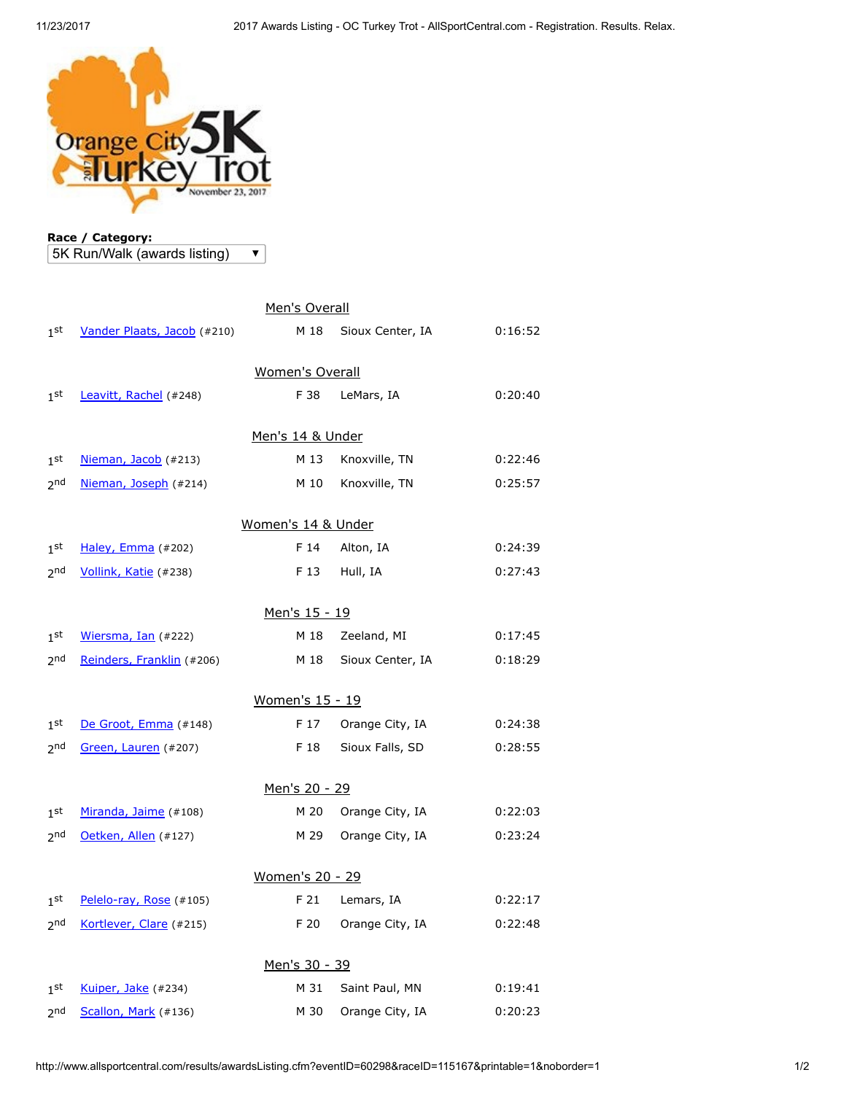

Race / Category: 5K Run/Walk (awards listing)

 $\overline{\textbf{v}}$ 

| Men's Overall          |                             |      |                  |         |  |  |  |  |
|------------------------|-----------------------------|------|------------------|---------|--|--|--|--|
| 1 <sup>st</sup>        | Vander Plaats, Jacob (#210) | M 18 | Sioux Center, IA | 0:16:52 |  |  |  |  |
| <b>Women's Overall</b> |                             |      |                  |         |  |  |  |  |
| 1 <sup>st</sup>        | Leavitt, Rachel (#248)      | F 38 | LeMars, IA       | 0:20:40 |  |  |  |  |
| Men's 14 & Under       |                             |      |                  |         |  |  |  |  |
| 1 <sup>st</sup>        | Nieman, Jacob (#213)        | M 13 | Knoxville, TN    | 0:22:46 |  |  |  |  |
| 2 <sub>nd</sub>        | Nieman, Joseph (#214)       | M 10 | Knoxville, TN    | 0:25:57 |  |  |  |  |
| Women's 14 & Under     |                             |      |                  |         |  |  |  |  |
| 1 <sup>st</sup>        | Haley, Emma (#202)          | F 14 | Alton, IA        | 0:24:39 |  |  |  |  |
| 2 <sub>nd</sub>        | Vollink, Katie (#238)       | F 13 | Hull, IA         | 0:27:43 |  |  |  |  |
| Men's 15 - 19          |                             |      |                  |         |  |  |  |  |
| 1 <sup>st</sup>        | Wiersma, Ian (#222)         | M 18 | Zeeland, MI      | 0:17:45 |  |  |  |  |
| 2 <sub>nd</sub>        | Reinders, Franklin (#206)   | M 18 | Sioux Center, IA | 0:18:29 |  |  |  |  |
| Women's 15 - 19        |                             |      |                  |         |  |  |  |  |
| 1 <sup>st</sup>        | De Groot, Emma (#148)       | F 17 | Orange City, IA  | 0:24:38 |  |  |  |  |
| <sub>2</sub> nd        | Green, Lauren (#207)        | F 18 | Sioux Falls, SD  | 0:28:55 |  |  |  |  |
| Men's 20 - 29          |                             |      |                  |         |  |  |  |  |
| 1 <sup>st</sup>        | Miranda, Jaime (#108)       | M 20 | Orange City, IA  | 0:22:03 |  |  |  |  |
| 2 <sub>nd</sub>        | Oetken, Allen (#127)        | M 29 | Orange City, IA  | 0:23:24 |  |  |  |  |
| Women's 20 - 29        |                             |      |                  |         |  |  |  |  |
| 1 <sup>st</sup>        | Pelelo-ray, Rose (#105)     | F 21 | Lemars, IA       | 0:22:17 |  |  |  |  |
| 2 <sub>nd</sub>        | Kortlever, Clare (#215)     | F 20 | Orange City, IA  | 0:22:48 |  |  |  |  |
| Men's 30 - 39          |                             |      |                  |         |  |  |  |  |
| 1 <sup>st</sup>        | Kuiper, Jake (#234)         | M 31 | Saint Paul, MN   | 0:19:41 |  |  |  |  |
| 2 <sub>nd</sub>        | Scallon, Mark (#136)        | M 30 | Orange City, IA  | 0:20:23 |  |  |  |  |